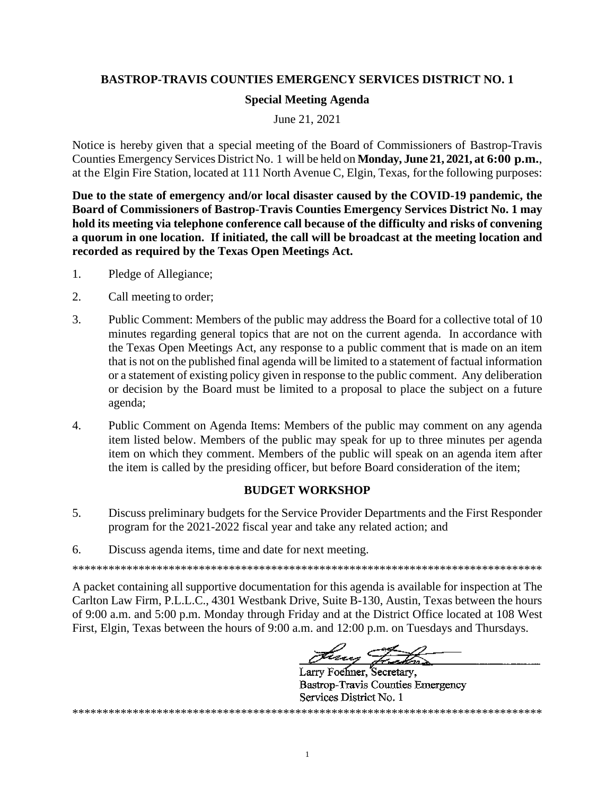## **BASTROP-TRAVIS COUNTIES EMERGENCY SERVICES DISTRICT NO. 1**

## **Special Meeting Agenda**

June 21, 2021

Notice is hereby given that a special meeting of the Board of Commissioners of Bastrop-Travis Counties Emergency Services District No. 1 will be held on Monday, June 21, 2021, at 6:00 p.m., at the Elgin Fire Station, located at 111 North Avenue C, Elgin, Texas, for the following purposes:

Due to the state of emergency and/or local disaster caused by the COVID-19 pandemic, the Board of Commissioners of Bastrop-Travis Counties Emergency Services District No. 1 may hold its meeting via telephone conference call because of the difficulty and risks of convening a quorum in one location. If initiated, the call will be broadcast at the meeting location and recorded as required by the Texas Open Meetings Act.

- $1<sup>1</sup>$ Pledge of Allegiance;
- $\overline{2}$ . Call meeting to order;
- 3. Public Comment: Members of the public may address the Board for a collective total of 10 minutes regarding general topics that are not on the current agenda. In accordance with the Texas Open Meetings Act, any response to a public comment that is made on an item that is not on the published final agenda will be limited to a statement of factual information or a statement of existing policy given in response to the public comment. Any deliberation or decision by the Board must be limited to a proposal to place the subject on a future agenda;
- $\overline{4}$ . Public Comment on Agenda Items: Members of the public may comment on any agenda item listed below. Members of the public may speak for up to three minutes per agenda item on which they comment. Members of the public will speak on an agenda item after the item is called by the presiding officer, but before Board consideration of the item;

## **BUDGET WORKSHOP**

- $5<sub>1</sub>$ Discuss preliminary budgets for the Service Provider Departments and the First Responder program for the 2021-2022 fiscal year and take any related action; and
- 6. Discuss agenda items, time and date for next meeting.

A packet containing all supportive documentation for this agenda is available for inspection at The Carlton Law Firm, P.L.L.C., 4301 Westbank Drive, Suite B-130, Austin, Texas between the hours of 9:00 a.m. and 5:00 p.m. Monday through Friday and at the District Office located at 108 West First, Elgin, Texas between the hours of 9:00 a.m. and 12:00 p.m. on Tuesdays and Thursdays.

Larry Foehner, Secretary, **Bastrop-Travis Counties Emergency** Services District No. 1 

 $\mathbf{1}$